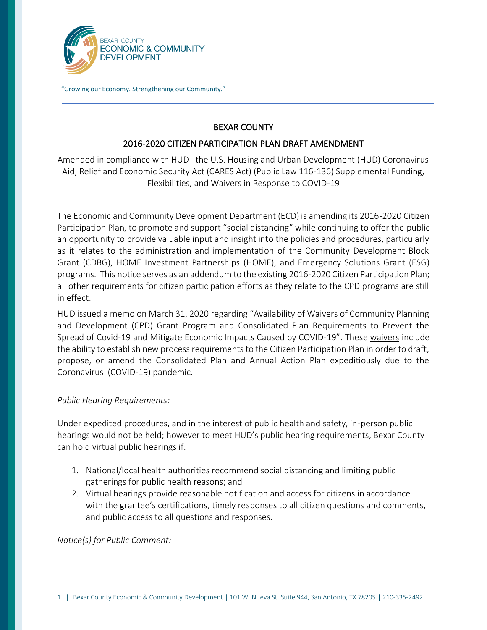

"Growing our Economy. Strengthening our Community."

## BEXAR COUNTY

## 2016-2020 CITIZEN PARTICIPATION PLAN DRAFT AMENDMENT

Amended in compliance with HUD the U.S. Housing and Urban Development (HUD) Coronavirus Aid, Relief and Economic Security Act (CARES Act) (Public Law 116-136) Supplemental Funding, Flexibilities, and Waivers in Response to COVID-19

The Economic and Community Development Department (ECD) is amending its 2016-2020 Citizen Participation Plan, to promote and support "social distancing" while continuing to offer the public an opportunity to provide valuable input and insight into the policies and procedures, particularly as it relates to the administration and implementation of the Community Development Block Grant (CDBG), HOME Investment Partnerships (HOME), and Emergency Solutions Grant (ESG) programs. This notice serves as an addendum to the existing 2016-2020 Citizen Participation Plan; all other requirements for citizen participation efforts as they relate to the CPD programs are still in effect.

HUD issued a memo on March 31, 2020 regarding "Availability of Waivers of Community Planning and Development (CPD) Grant Program and Consolidated Plan Requirements to Prevent the Spread of Covid-19 and Mitigate Economic Impacts Caused by COVID-19". These [waivers](https://www.hud.gov/sites/dfiles/CPD/documents/Availability-of-Waivers-of-CPD-Grant-Program-and-Consolidated-Plan-Requirements-to-Prevent-the-Spread-of-COVID-19-and-Mitigate-Economic-Impacts-Caused-by-COVID-19.pdf) include the ability to establish new process requirements to the Citizen Participation Plan in order to draft, propose, or amend the Consolidated Plan and Annual Action Plan expeditiously due to the Coronavirus (COVID-19) pandemic.

## *Public Hearing Requirements:*

Under expedited procedures, and in the interest of public health and safety, in-person public hearings would not be held; however to meet HUD's public hearing requirements, Bexar County can hold virtual public hearings if:

- 1. National/local health authorities recommend social distancing and limiting public gatherings for public health reasons; and
- 2. Virtual hearings provide reasonable notification and access for citizens in accordance with the grantee's certifications, timely responses to all citizen questions and comments, and public access to all questions and responses.

*Notice(s) for Public Comment:*